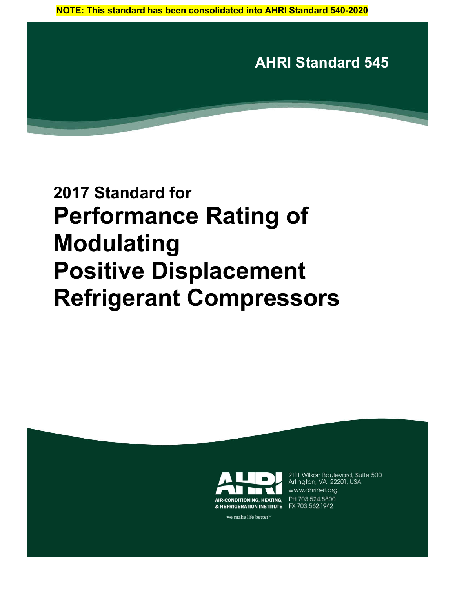**AHRI Standard 545**

# **2017 Standard for Performance Rating of Modulating Positive Displacement Refrigerant Compressors**



2111 Wilson Boulevard, Suite 500 Arlington, VA 22201, USA www.ahrinet.org

we make life better<sup>™</sup>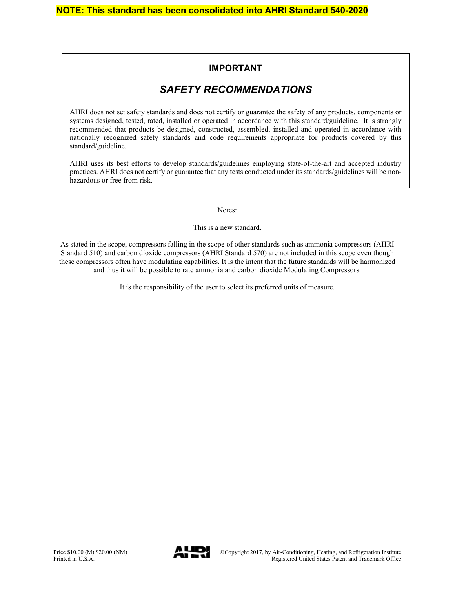#### **IMPORTANT**

### *SAFETY RECOMMENDATIONS*

AHRI does not set safety standards and does not certify or guarantee the safety of any products, components or systems designed, tested, rated, installed or operated in accordance with this standard/guideline. It is strongly recommended that products be designed, constructed, assembled, installed and operated in accordance with nationally recognized safety standards and code requirements appropriate for products covered by this standard/guideline.

AHRI uses its best efforts to develop standards/guidelines employing state-of-the-art and accepted industry practices. AHRI does not certify or guarantee that any tests conducted under its standards/guidelines will be nonhazardous or free from risk.

Notes:

This is a new standard.

As stated in the scope, compressors falling in the scope of other standards such as ammonia compressors (AHRI Standard 510) and carbon dioxide compressors (AHRI Standard 570) are not included in this scope even though these compressors often have modulating capabilities. It is the intent that the future standards will be harmonized and thus it will be possible to rate ammonia and carbon dioxide Modulating Compressors.

It is the responsibility of the user to select its preferred units of measure.

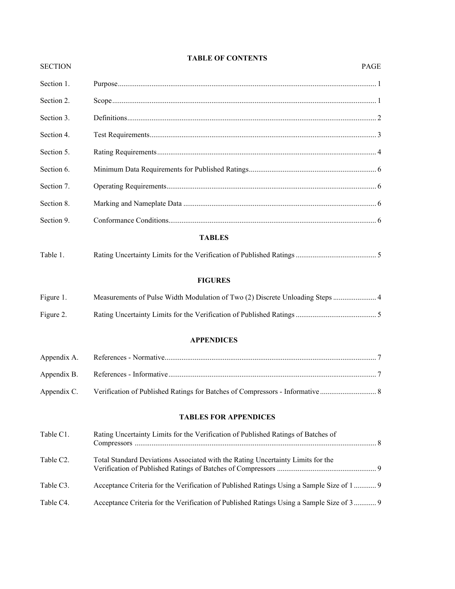#### **TABLE OF CONTENTS**

| <b>SECTION</b> |                                                                                           | <b>PAGE</b> |
|----------------|-------------------------------------------------------------------------------------------|-------------|
| Section 1.     |                                                                                           |             |
| Section 2.     |                                                                                           |             |
| Section 3.     |                                                                                           |             |
| Section 4.     |                                                                                           |             |
| Section 5.     |                                                                                           |             |
| Section 6.     |                                                                                           |             |
| Section 7.     |                                                                                           |             |
| Section 8.     |                                                                                           |             |
| Section 9.     |                                                                                           |             |
|                | <b>TABLES</b>                                                                             |             |
| Table 1.       |                                                                                           |             |
|                |                                                                                           |             |
|                | <b>FIGURES</b>                                                                            |             |
| Figure 1.      | Measurements of Pulse Width Modulation of Two (2) Discrete Unloading Steps  4             |             |
| Figure 2.      |                                                                                           |             |
|                | <b>APPENDICES</b>                                                                         |             |
| Appendix A.    |                                                                                           |             |
| Appendix B.    |                                                                                           |             |
| Appendix C.    | Verification of Published Ratings for Batches of Compressors - Informative                |             |
|                | <b>TABLES FOR APPENDICES</b>                                                              |             |
| Table C1.      | Rating Uncertainty Limits for the Verification of Published Ratings of Batches of         |             |
| Table C2.      | Total Standard Deviations Associated with the Rating Uncertainty Limits for the           |             |
| Table C3.      | Acceptance Criteria for the Verification of Published Ratings Using a Sample Size of 1  9 |             |
| Table C4.      | Acceptance Criteria for the Verification of Published Ratings Using a Sample Size of 3  9 |             |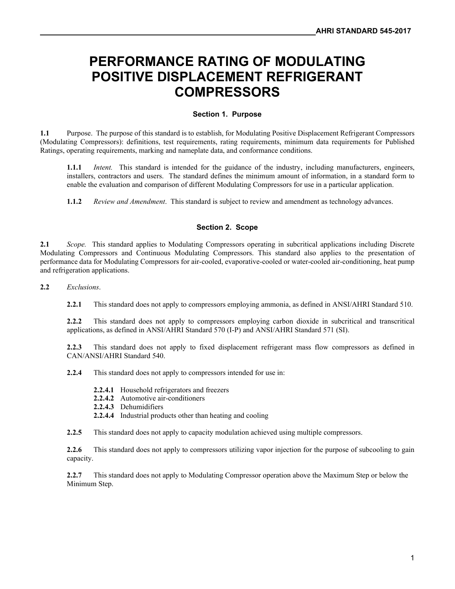### **PERFORMANCE RATING OF MODULATING POSITIVE DISPLACEMENT REFRIGERANT COMPRESSORS**

#### **Section 1. Purpose**

**1.1** Purpose. The purpose of this standard is to establish, for Modulating Positive Displacement Refrigerant Compressors (Modulating Compressors): definitions, test requirements, rating requirements, minimum data requirements for Published Ratings, operating requirements, marking and nameplate data, and conformance conditions.

**1.1.1** *Intent.* This standard is intended for the guidance of the industry, including manufacturers, engineers, installers, contractors and users. The standard defines the minimum amount of information, in a standard form to enable the evaluation and comparison of different Modulating Compressors for use in a particular application.

**1.1.2** *Review and Amendment*. This standard is subject to review and amendment as technology advances.

#### **Section 2. Scope**

**2.1** *Scope.* This standard applies to Modulating Compressors operating in subcritical applications including Discrete Modulating Compressors and Continuous Modulating Compressors. This standard also applies to the presentation of performance data for Modulating Compressors for air-cooled, evaporative-cooled or water-cooled air-conditioning, heat pump and refrigeration applications.

**2.2** *Exclusions*.

**2.2.1** This standard does not apply to compressors employing ammonia, as defined in ANSI/AHRI Standard 510.

**2.2.2** This standard does not apply to compressors employing carbon dioxide in subcritical and transcritical applications, as defined in ANSI/AHRI Standard 570 (I-P) and ANSI/AHRI Standard 571 (SI).

**2.2.3** This standard does not apply to fixed displacement refrigerant mass flow compressors as defined in CAN/ANSI/AHRI Standard 540.

**2.2.4** This standard does not apply to compressors intended for use in:

**2.2.4.1** Household refrigerators and freezers

- **2.2.4.2** Automotive air-conditioners
- **2.2.4.3** Dehumidifiers
- **2.2.4.4** Industrial products other than heating and cooling

**2.2.5** This standard does not apply to capacity modulation achieved using multiple compressors.

**2.2.6** This standard does not apply to compressors utilizing vapor injection for the purpose of subcooling to gain capacity.

**2.2.7** This standard does not apply to Modulating Compressor operation above the Maximum Step or below the Minimum Step.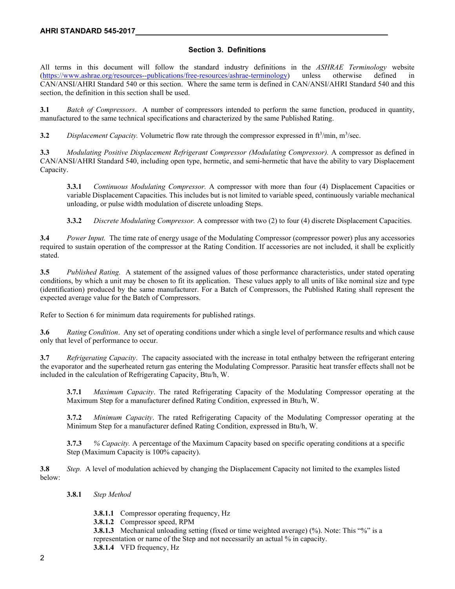#### **Section 3. Definitions**

All terms in this document will follow the standard industry definitions in the *ASHRAE Terminology* website (https://www.ashrae.org/resources--publications/free-resources/ashrae-terminology) unless otherwise defined in CAN/ANSI/AHRI Standard 540 or this section. Where the same term is defined in CAN/ANSI/AHRI Standard 540 and this section, the definition in this section shall be used.

**3.1** *Batch of Compressors*. A number of compressors intended to perform the same function, produced in quantity, manufactured to the same technical specifications and characterized by the same Published Rating.

**3.2** *Displacement Capacity*. Volumetric flow rate through the compressor expressed in ft<sup>3</sup>/min, m<sup>3</sup>/sec.

**3.3** *Modulating Positive Displacement Refrigerant Compressor (Modulating Compressor).* A compressor as defined in CAN/ANSI/AHRI Standard 540, including open type, hermetic, and semi-hermetic that have the ability to vary Displacement Capacity.

**3.3.1** *Continuous Modulating Compressor.* A compressor with more than four (4) Displacement Capacities or variable Displacement Capacities. This includes but is not limited to variable speed, continuously variable mechanical unloading, or pulse width modulation of discrete unloading Steps.

**3.3.2** *Discrete Modulating Compressor.* A compressor with two (2) to four (4) discrete Displacement Capacities.

**3.4** *Power Input.* The time rate of energy usage of the Modulating Compressor (compressor power) plus any accessories required to sustain operation of the compressor at the Rating Condition. If accessories are not included, it shall be explicitly stated.

**3.5** *Published Rating.* A statement of the assigned values of those performance characteristics, under stated operating conditions, by which a unit may be chosen to fit its application. These values apply to all units of like nominal size and type (identification) produced by the same manufacturer. For a Batch of Compressors, the Published Rating shall represent the expected average value for the Batch of Compressors.

Refer to Section 6 for minimum data requirements for published ratings.

**3.6** *Rating Condition*. Any set of operating conditions under which a single level of performance results and which cause only that level of performance to occur.

**3.7** *Refrigerating Capacity*. The capacity associated with the increase in total enthalpy between the refrigerant entering the evaporator and the superheated return gas entering the Modulating Compressor. Parasitic heat transfer effects shall not be included in the calculation of Refrigerating Capacity, Btu/h, W.

**3.7.1** *Maximum Capacity*. The rated Refrigerating Capacity of the Modulating Compressor operating at the Maximum Step for a manufacturer defined Rating Condition, expressed in Btu/h, W.

**3.7.2** *Minimum Capacity*. The rated Refrigerating Capacity of the Modulating Compressor operating at the Minimum Step for a manufacturer defined Rating Condition, expressed in Btu/h, W.

**3.7.3** *% Capacity.* A percentage of the Maximum Capacity based on specific operating conditions at a specific Step (Maximum Capacity is 100% capacity).

**3.8** *Step.* A level of modulation achieved by changing the Displacement Capacity not limited to the examples listed below:

**3.8.1** *Step Method*

- **3.8.1.1** Compressor operating frequency, Hz
- **3.8.1.2** Compressor speed, RPM

**3.8.1.3** Mechanical unloading setting (fixed or time weighted average) (%). Note: This "%" is a representation or name of the Step and not necessarily an actual % in capacity. **3.8.1.4** VFD frequency, Hz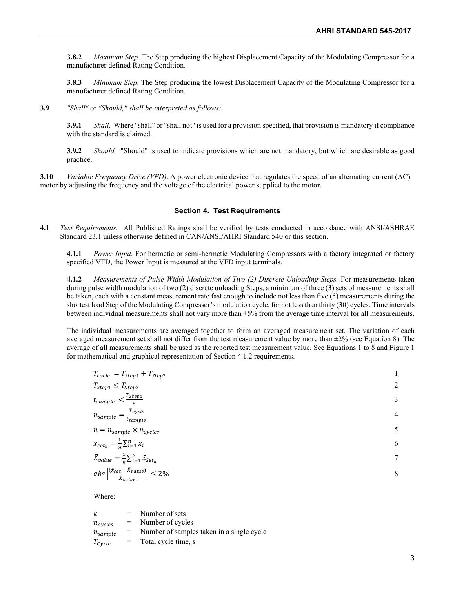**3.8.2** *Maximum Step*. The Step producing the highest Displacement Capacity of the Modulating Compressor for a manufacturer defined Rating Condition.

**3.8.3** *Minimum Step*. The Step producing the lowest Displacement Capacity of the Modulating Compressor for a manufacturer defined Rating Condition.

**3.9** *"Shall"* or *"Should," shall be interpreted as follows:*

**3.9.1** *Shall.* Where "shall" or "shall not" is used for a provision specified, that provision is mandatory if compliance with the standard is claimed.

**3.9.2** *Should.* "Should" is used to indicate provisions which are not mandatory, but which are desirable as good practice.

**3.10** *Variable Frequency Drive (VFD)*. A power electronic device that regulates the speed of an alternating current (AC) motor by adjusting the frequency and the voltage of the electrical power supplied to the motor.

#### **Section 4. Test Requirements**

**4.1** *Test Requirements*. All Published Ratings shall be verified by tests conducted in accordance with ANSI/ASHRAE Standard 23.1 unless otherwise defined in CAN/ANSI/AHRI Standard 540 or this section.

**4.1.1** *Power Input.* For hermetic or semi-hermetic Modulating Compressors with a factory integrated or factory specified VFD, the Power Input is measured at the VFD input terminals.

**4.1.2** *Measurements of Pulse Width Modulation of Two (2) Discrete Unloading Steps.* For measurements taken during pulse width modulation of two (2) discrete unloading Steps, a minimum of three (3) sets of measurements shall be taken, each with a constant measurement rate fast enough to include not less than five (5) measurements during the shortest load Step of the Modulating Compressor's modulation cycle, for not less than thirty (30) cycles. Time intervals between individual measurements shall not vary more than ±5% from the average time interval for all measurements.

The individual measurements are averaged together to form an averaged measurement set. The variation of each averaged measurement set shall not differ from the test measurement value by more than  $\pm 2\%$  (see Equation 8). The average of all measurements shall be used as the reported test measurement value. See Equations 1 to 8 and Figure 1 for mathematical and graphical representation of Section 4.1.2 requirements.

| $T_{cycle} = T_{Step 1} + T_{Step 2}$                                                   |   |
|-----------------------------------------------------------------------------------------|---|
| $T_{Step 1} \leq T_{Step 2}$                                                            | 2 |
| $t_{sample} < \frac{T_{Step 1}}{\epsilon}$                                              | 3 |
| $n_{sample} = \frac{T_{cycle}}{t_{sample}}$                                             | 4 |
| $n = n_{sample} \times n_{cycles}$                                                      |   |
| $\bar{x}_{set_k} = \frac{1}{n} \sum_{i=1}^n x_i$                                        | 6 |
| $\bar{X}_{value} = \frac{1}{k} \sum_{i=1}^{k} \bar{x}_{Set_{k}}$                        | 7 |
| abs $\left  \frac{(\bar{x}_{set} - \bar{x}_{value})}{\bar{x}_{value}} \right  \leq 2\%$ | 8 |

Where:

| k                  |     | $=$ Number of sets                        |
|--------------------|-----|-------------------------------------------|
| $n_{cycles}$       |     | $=$ Number of cycles                      |
| $n_{sample}$       | $=$ | Number of samples taken in a single cycle |
| $T_{\text{Cycle}}$ | $=$ | Total cycle time, s                       |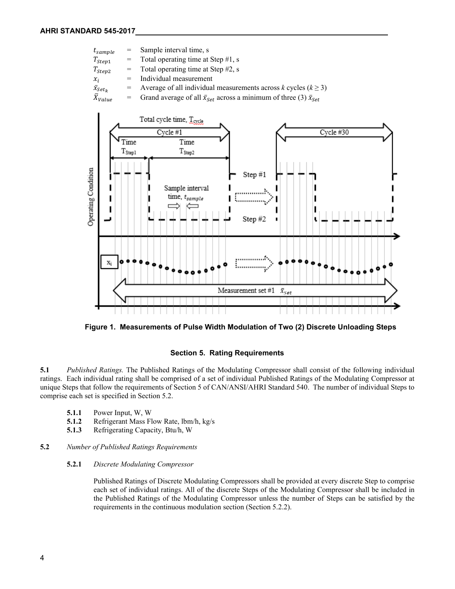

**Figure 1. Measurements of Pulse Width Modulation of Two (2) Discrete Unloading Steps**

#### **Section 5. Rating Requirements**

**5.1** *Published Ratings.* The Published Ratings of the Modulating Compressor shall consist of the following individual ratings. Each individual rating shall be comprised of a set of individual Published Ratings of the Modulating Compressor at unique Steps that follow the requirements of Section 5 of CAN/ANSI/AHRI Standard 540. The number of individual Steps to comprise each set is specified in Section 5.2.

- **5.1.1** Power Input, W, W
- **5.1.2** Refrigerant Mass Flow Rate, Ibm/h, kg/s<br>**5.1.3** Refrigerating Capacity, Btu/h, W
- **5.1.3** Refrigerating Capacity, Btu/h, W

#### **5.2** *Number of Published Ratings Requirements*

#### **5.2.1** *Discrete Modulating Compressor*

Published Ratings of Discrete Modulating Compressors shall be provided at every discrete Step to comprise each set of individual ratings. All of the discrete Steps of the Modulating Compressor shall be included in the Published Ratings of the Modulating Compressor unless the number of Steps can be satisfied by the requirements in the continuous modulation section (Section 5.2.2).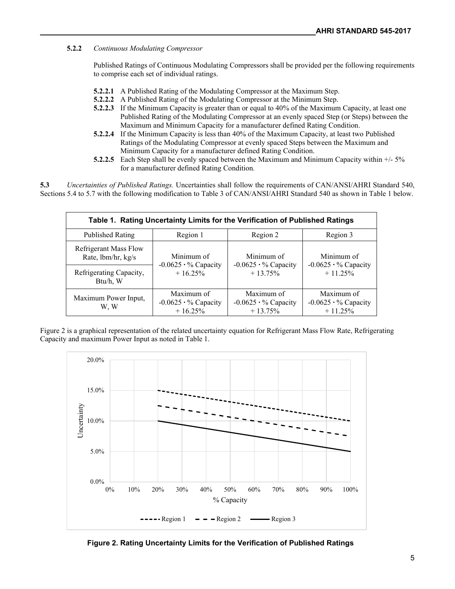#### **5.2.2** *Continuous Modulating Compressor*

Published Ratings of Continuous Modulating Compressors shall be provided per the following requirements to comprise each set of individual ratings.

- **5.2.2.1** A Published Rating of the Modulating Compressor at the Maximum Step.
- **5.2.2.2** A Published Rating of the Modulating Compressor at the Minimum Step.
- **5.2.2.3** If the Minimum Capacity is greater than or equal to 40% of the Maximum Capacity, at least one Published Rating of the Modulating Compressor at an evenly spaced Step (or Steps) between the Maximum and Minimum Capacity for a manufacturer defined Rating Condition.
- **5.2.2.4** If the Minimum Capacity is less than 40% of the Maximum Capacity, at least two Published Ratings of the Modulating Compressor at evenly spaced Steps between the Maximum and Minimum Capacity for a manufacturer defined Rating Condition.
- **5.2.2.5** Each Step shall be evenly spaced between the Maximum and Minimum Capacity within  $+/-5\%$ for a manufacturer defined Rating Condition*.*

**5.3** *Uncertainties of Published Ratings.* Uncertainties shall follow the requirements of CAN/ANSI/AHRI Standard 540, Sections 5.4 to 5.7 with the following modification to Table 3 of CAN/ANSI/AHRI Standard 540 as shown in Table 1 below.

| Table 1. Rating Uncertainty Limits for the Verification of Published Ratings |                                                       |                                                        |                                                       |  |
|------------------------------------------------------------------------------|-------------------------------------------------------|--------------------------------------------------------|-------------------------------------------------------|--|
| Published Rating                                                             | Region 1                                              | Region 2                                               | Region 3                                              |  |
| Refrigerant Mass Flow<br>Rate, lbm/hr, kg/s                                  | Minimum of                                            | Minimum of                                             | Minimum of                                            |  |
| Refrigerating Capacity,<br>Btu/h, W                                          | $-0.0625 \cdot %$ Capacity<br>$+16.25%$               | $-0.0625 \cdot \%$ Capacity<br>$+13.75%$               | $-0.0625 \cdot %$ Capacity<br>$+11.25%$               |  |
| Maximum Power Input,<br>W. W                                                 | Maximum of<br>$-0.0625 \cdot %$ Capacity<br>$+16.25%$ | Maximum of<br>$-0.0625 \cdot \%$ Capacity<br>$+13.75%$ | Maximum of<br>$-0.0625 \cdot %$ Capacity<br>$+11.25%$ |  |

Figure 2 is a graphical representation of the related uncertainty equation for Refrigerant Mass Flow Rate, Refrigerating Capacity and maximum Power Input as noted in Table 1.



**Figure 2. Rating Uncertainty Limits for the Verification of Published Ratings**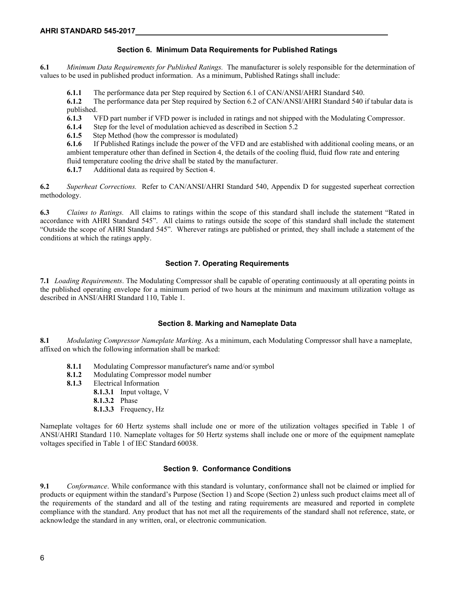#### **Section 6. Minimum Data Requirements for Published Ratings**

**6.1** *Minimum Data Requirements for Published Ratings.* The manufacturer is solely responsible for the determination of values to be used in published product information. As a minimum, Published Ratings shall include:

**6.1.1** The performance data per Step required by Section 6.1 of CAN/ANSI/AHRI Standard 540.

**6.1.2** The performance data per Step required by Section 6.2 of CAN/ANSI/AHRI Standard 540 if tabular data is published.

**6.1.3** VFD part number if VFD power is included in ratings and not shipped with the Modulating Compressor.<br>**6.1.4** Step for the level of modulation achieved as described in Section 5.2

**6.1.4** Step for the level of modulation achieved as described in Section 5.2 6.1.5 Step Method (how the compressor is modulated)

Step Method (how the compressor is modulated)

**6.1.6** If Published Ratings include the power of the VFD and are established with additional cooling means, or an ambient temperature other than defined in Section 4, the details of the cooling fluid, fluid flow rate and entering fluid temperature cooling the drive shall be stated by the manufacturer.

**6.1.7** Additional data as required by Section 4.

**6.2** *Superheat Corrections.*Refer to CAN/ANSI/AHRI Standard 540, Appendix D for suggested superheat correction methodology.

**6.3** *Claims to Ratings.* All claims to ratings within the scope of this standard shall include the statement "Rated in accordance with AHRI Standard 545". All claims to ratings outside the scope of this standard shall include the statement "Outside the scope of AHRI Standard 545". Wherever ratings are published or printed, they shall include a statement of the conditions at which the ratings apply.

#### **Section 7. Operating Requirements**

**7.1** *Loading Requirements*. The Modulating Compressor shall be capable of operating continuously at all operating points in the published operating envelope for a minimum period of two hours at the minimum and maximum utilization voltage as described in ANSI/AHRI Standard 110, Table 1.

#### **Section 8. Marking and Nameplate Data**

**8.1** *Modulating Compressor Nameplate Marking*. As a minimum, each Modulating Compressor shall have a nameplate, affixed on which the following information shall be marked:

- **8.1.1** Modulating Compressor manufacturer's name and/or symbol
- **8.1.2** Modulating Compressor model number
- **8.1.3** Electrical Information
	- **8.1.3.1** Input voltage, V
	- **8.1.3.2** Phase
	- **8.1.3.3** Frequency, Hz

Nameplate voltages for 60 Hertz systems shall include one or more of the utilization voltages specified in Table 1 of ANSI/AHRI Standard 110. Nameplate voltages for 50 Hertz systems shall include one or more of the equipment nameplate voltages specified in Table 1 of IEC Standard 60038.

#### **Section 9. Conformance Conditions**

**9.1** *Conformance*. While conformance with this standard is voluntary, conformance shall not be claimed or implied for products or equipment within the standard's Purpose (Section 1) and Scope (Section 2) unless such product claims meet all of the requirements of the standard and all of the testing and rating requirements are measured and reported in complete compliance with the standard. Any product that has not met all the requirements of the standard shall not reference, state, or acknowledge the standard in any written, oral, or electronic communication.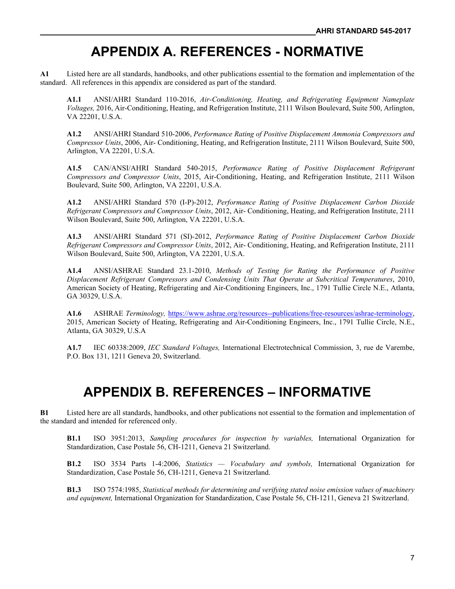### **APPENDIX A. REFERENCES - NORMATIVE**

**A1** Listed here are all standards, handbooks, and other publications essential to the formation and implementation of the standard. All references in this appendix are considered as part of the standard.

**A1.1** ANSI/AHRI Standard 110-2016, *Air-Conditioning, Heating, and Refrigerating Equipment Nameplate Voltages,* 2016, Air-Conditioning, Heating, and Refrigeration Institute, 2111 Wilson Boulevard, Suite 500, Arlington, VA 22201, U.S.A.

**A1.2** ANSI/AHRI Standard 510-2006, *Performance Rating of Positive Displacement Ammonia Compressors and Compressor Units*, 2006, Air- Conditioning, Heating, and Refrigeration Institute, 2111 Wilson Boulevard, Suite 500, Arlington, VA 22201, U.S.A.

**A1.5** CAN/ANSI/AHRI Standard 540-2015, *Performance Rating of Positive Displacement Refrigerant Compressors and Compressor Units*, 2015, Air-Conditioning, Heating, and Refrigeration Institute, 2111 Wilson Boulevard, Suite 500, Arlington, VA 22201, U.S.A.

**A1.2** ANSI/AHRI Standard 570 (I-P)-2012, *Performance Rating of Positive Displacement Carbon Dioxide Refrigerant Compressors and Compressor Units*, 2012, Air- Conditioning, Heating, and Refrigeration Institute, 2111 Wilson Boulevard, Suite 500, Arlington, VA 22201, U.S.A.

**A1.3** ANSI/AHRI Standard 571 (SI)-2012, *Performance Rating of Positive Displacement Carbon Dioxide Refrigerant Compressors and Compressor Units*, 2012, Air- Conditioning, Heating, and Refrigeration Institute, 2111 Wilson Boulevard, Suite 500, Arlington, VA 22201, U.S.A.

**A1.4** ANSI/ASHRAE Standard 23.1-2010, *Methods of Testing for Rating the Performance of Positive Displacement Refrigerant Compressors and Condensing Units That Operate at Subcritical Temperatures*, 2010, American Society of Heating, Refrigerating and Air-Conditioning Engineers, Inc., 1791 Tullie Circle N.E., Atlanta, GA 30329, U.S.A.

**A1.6** ASHRAE *Terminology,* https://www.ashrae.org/resources--publications/free-resources/ashrae-terminology, 2015, American Society of Heating, Refrigerating and Air-Conditioning Engineers, Inc., 1791 Tullie Circle, N.E., Atlanta, GA 30329, U.S.A

**A1.7** IEC 60338:2009, *IEC Standard Voltages,* International Electrotechnical Commission, 3, rue de Varembe, P.O. Box 131, 1211 Geneva 20, Switzerland.

### **APPENDIX B. REFERENCES – INFORMATIVE**

**B1** Listed here are all standards, handbooks, and other publications not essential to the formation and implementation of the standard and intended for referenced only.

**B1.1** ISO 3951:2013, *Sampling procedures for inspection by variables,* International Organization for Standardization, Case Postale 56, CH-1211, Geneva 21 Switzerland.

**B1.2** ISO 3534 Parts 1-4:2006, *Statistics — Vocabulary and symbols,* International Organization for Standardization, Case Postale 56, CH-1211, Geneva 21 Switzerland.

**B1.3** ISO 7574:1985, *Statistical methods for determining and verifying stated noise emission values of machinery and equipment,* International Organization for Standardization, Case Postale 56, CH-1211, Geneva 21 Switzerland.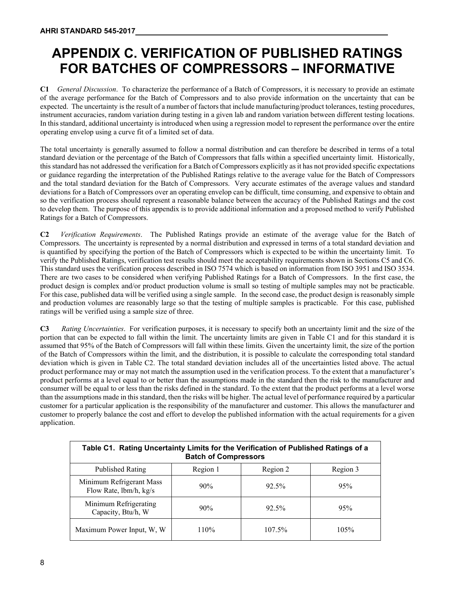## **APPENDIX C. VERIFICATION OF PUBLISHED RATINGS FOR BATCHES OF COMPRESSORS – INFORMATIVE**

**C1** *General Discussion*. To characterize the performance of a Batch of Compressors, it is necessary to provide an estimate of the average performance for the Batch of Compressors and to also provide information on the uncertainty that can be expected. The uncertainty is the result of a number of factors that include manufacturing/product tolerances, testing procedures, instrument accuracies, random variation during testing in a given lab and random variation between different testing locations. In this standard, additional uncertainty is introduced when using a regression model to represent the performance over the entire operating envelop using a curve fit of a limited set of data.

The total uncertainty is generally assumed to follow a normal distribution and can therefore be described in terms of a total standard deviation or the percentage of the Batch of Compressors that falls within a specified uncertainty limit. Historically, this standard has not addressed the verification for a Batch of Compressors explicitly as it has not provided specific expectations or guidance regarding the interpretation of the Published Ratings relative to the average value for the Batch of Compressors and the total standard deviation for the Batch of Compressors. Very accurate estimates of the average values and standard deviations for a Batch of Compressors over an operating envelop can be difficult, time consuming, and expensive to obtain and so the verification process should represent a reasonable balance between the accuracy of the Published Ratings and the cost to develop them. The purpose of this appendix is to provide additional information and a proposed method to verify Published Ratings for a Batch of Compressors.

**C2** *Verification Requirements*. The Published Ratings provide an estimate of the average value for the Batch of Compressors. The uncertainty is represented by a normal distribution and expressed in terms of a total standard deviation and is quantified by specifying the portion of the Batch of Compressors which is expected to be within the uncertainty limit. To verify the Published Ratings, verification test results should meet the acceptability requirements shown in Sections C5 and C6. This standard uses the verification process described in ISO 7574 which is based on information from ISO 3951 and ISO 3534. There are two cases to be considered when verifying Published Ratings for a Batch of Compressors. In the first case, the product design is complex and/or product production volume is small so testing of multiple samples may not be practicable. For this case, published data will be verified using a single sample. In the second case, the product design is reasonably simple and production volumes are reasonably large so that the testing of multiple samples is practicable. For this case, published ratings will be verified using a sample size of three.

**C3** *Rating Uncertainties*. For verification purposes, it is necessary to specify both an uncertainty limit and the size of the portion that can be expected to fall within the limit. The uncertainty limits are given in Table C1 and for this standard it is assumed that 95% of the Batch of Compressors will fall within these limits. Given the uncertainty limit, the size of the portion of the Batch of Compressors within the limit, and the distribution, it is possible to calculate the corresponding total standard deviation which is given in Table C2. The total standard deviation includes all of the uncertainties listed above. The actual product performance may or may not match the assumption used in the verification process. To the extent that a manufacturer's product performs at a level equal to or better than the assumptions made in the standard then the risk to the manufacturer and consumer will be equal to or less than the risks defined in the standard. To the extent that the product performs at a level worse than the assumptions made in this standard, then the risks will be higher. The actual level of performance required by a particular customer for a particular application is the responsibility of the manufacturer and customer. This allows the manufacturer and customer to properly balance the cost and effort to develop the published information with the actual requirements for a given application.

| Table C1. Rating Uncertainty Limits for the Verification of Published Ratings of a<br><b>Batch of Compressors</b> |          |          |          |  |
|-------------------------------------------------------------------------------------------------------------------|----------|----------|----------|--|
| Published Rating                                                                                                  | Region 1 | Region 2 | Region 3 |  |
| Minimum Refrigerant Mass<br>Flow Rate, lbm/h, kg/s                                                                | 90%      | $92.5\%$ | 95%      |  |
| Minimum Refrigerating<br>Capacity, Btu/h, W                                                                       | $90\%$   | $92.5\%$ | 95%      |  |
| Maximum Power Input, W, W                                                                                         | 110%     | 107.5%   | 105%     |  |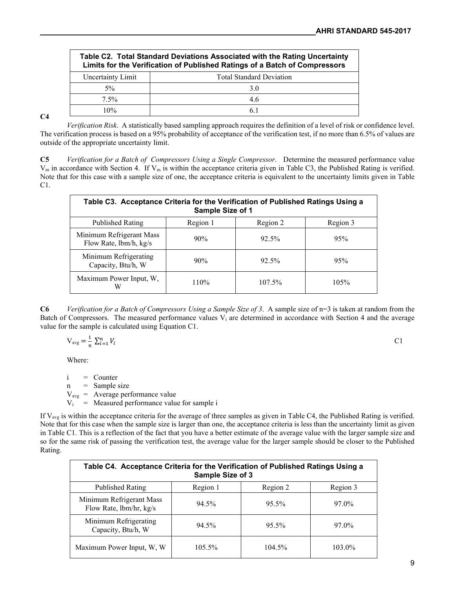| Table C2. Total Standard Deviations Associated with the Rating Uncertainty<br>Limits for the Verification of Published Ratings of a Batch of Compressors |                                 |  |  |
|----------------------------------------------------------------------------------------------------------------------------------------------------------|---------------------------------|--|--|
| Uncertainty Limit                                                                                                                                        | <b>Total Standard Deviation</b> |  |  |
| $5\%$                                                                                                                                                    | 3.0                             |  |  |
| $7.5\%$                                                                                                                                                  | 4.6                             |  |  |
| 10%                                                                                                                                                      | 61                              |  |  |

#### **C4**

*Verification Risk*. A statistically based sampling approach requires the definition of a level of risk or confidence level. The verification process is based on a 95% probability of acceptance of the verification test, if no more than 6.5% of values are outside of the appropriate uncertainty limit.

**C5** *Verification for a Batch of Compressors Using a Single Compressor*. Determine the measured performance value  $V_m$  in accordance with Section 4. If  $V_m$  is within the acceptance criteria given in Table C3, the Published Rating is verified. Note that for this case with a sample size of one, the acceptance criteria is equivalent to the uncertainty limits given in Table C1.

| Table C3. Acceptance Criteria for the Verification of Published Ratings Using a<br>Sample Size of 1 |          |          |          |  |
|-----------------------------------------------------------------------------------------------------|----------|----------|----------|--|
| Published Rating                                                                                    | Region 1 | Region 2 | Region 3 |  |
| Minimum Refrigerant Mass<br>Flow Rate, lbm/h, kg/s                                                  | 90%      | 92.5%    | 95%      |  |
| Minimum Refrigerating<br>Capacity, Btu/h, W                                                         | 90%      | 92.5%    | 95%      |  |
| Maximum Power Input, W,<br>W                                                                        | 110%     | 107.5%   | 105%     |  |

**C6** *Verification for a Batch of Compressors Using a Sample Size of 3*. A sample size of n=3 is taken at random from the Batch of Compressors. The measured performance values  $V_i$  are determined in accordance with Section 4 and the average value for the sample is calculated using Equation C1.

$$
V_{avg} = \frac{1}{n} \sum_{i=1}^{n} V_i
$$
 C1

Where:

i = Counter

 $n =$  Sample size

 $V_{\text{avg}}$  = Average performance value

 $V_i$  = Measured performance value for sample i

If  $V_{\text{avg}}$  is within the acceptance criteria for the average of three samples as given in Table C4, the Published Rating is verified. Note that for this case when the sample size is larger than one, the acceptance criteria is less than the uncertainty limit as given in Table C1. This is a reflection of the fact that you have a better estimate of the average value with the larger sample size and so for the same risk of passing the verification test, the average value for the larger sample should be closer to the Published Rating.

| Table C4. Acceptance Criteria for the Verification of Published Ratings Using a<br>Sample Size of 3 |           |          |          |
|-----------------------------------------------------------------------------------------------------|-----------|----------|----------|
| Published Rating                                                                                    | Region 1  | Region 2 | Region 3 |
| Minimum Refrigerant Mass<br>Flow Rate, lbm/hr, kg/s                                                 | 94.5%     | 95.5%    | 97.0%    |
| Minimum Refrigerating<br>Capacity, Btu/h, W                                                         | 94.5%     | 95.5%    | 97.0%    |
| Maximum Power Input, W, W                                                                           | $105.5\%$ | 104.5%   | 103.0%   |